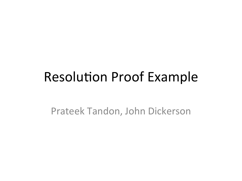## **Resolution Proof Example**

Prateek Tandon, John Dickerson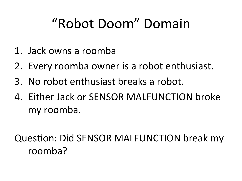## "Robot Doom" Domain

- 1. Jack owns a roomba
- 2. Every roomba owner is a robot enthusiast.
- 3. No robot enthusiast breaks a robot.
- 4. Either Jack or SENSOR MALFUNCTION broke my roomba.

Question: Did SENSOR MALFUNCTION break my roomba?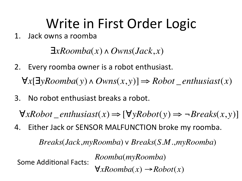## Write in First Order Logic

1. Jack owns a roomba

∃*xRoomba*(*x*)∧ *Owns*(*Jack*, *x*)

2. Every roomba owner is a robot enthusiast.

∀*x*[∃*yRoomba*(*y*)∧ *Owns*(*x*, *y*)] ⇒ *Robot* \_*enthusiast*(*x*)

No robot enthusiast breaks a robot.  $3<sub>1</sub>$ 

 $\forall x \text{R}obot\_enthusiast(x) \Longrightarrow [\forall y \text{R}obot(y) \Longrightarrow \neg \text{breaks}(x, y)]$ 

4. Either Jack or SENSOR MALFUNCTION broke my roomba.

*Breaks*(*Jack*,*myRoomba*)∨ *Breaks*(*S*.*M*.,*myRoomba*)

Some Additional Facts:

*Roomba*(*myRoomba*)  $\forall x \text{Roomba}(x) \rightarrow \text{Robot}(x)$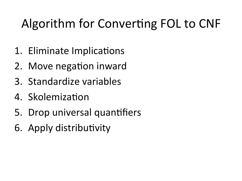## Algorithm for Converting FOL to CNF

- 1. Eliminate Implications
- 2. Move negation inward
- 3. Standardize variables
- 4. Skolemization
- 5. Drop universal quantifiers
- 6. Apply distributivity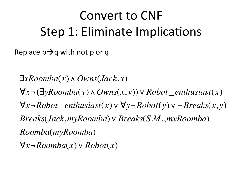## Convert to CNF Step 1: Eliminate Implications

Replace  $p \rightarrow q$  with not p or q

∃*xRoomba*(*x*)∧ *Owns*(*Jack*, *x*) ∀*x*¬(∃*yRoomba*(*y*)∧ *Owns*(*x*, *y*))∨ *Robot* \_*enthusiast*(*x*) ∀*x*¬*Robot* \_ *enthusiast*(*x*)∨ ∀*y*¬*Robot*(*y*)∨ ¬*Breaks*(*x*, *y*) *Breaks*(*Jack*,*myRoomba*)∨ *Breaks*(*S*.*M*.,*myRoomba*) *Roomba*(*myRoomba*) ∀*x*¬*Roomba*(*x*)∨ *Robot*(*x*)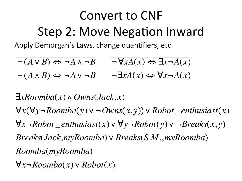# Convert to CNF Step 2: Move Negation Inward

Apply Demorgan's Laws, change quantifiers, etc.

$$
\begin{array}{|c|c|c|c|c|}\n\hline\n\hline\n\lbrack (A \lor B) & \Leftrightarrow \neg A \land \neg B \\
\hline\n\lbrack (A \land B) & \Leftrightarrow \neg A \lor \neg B\n\end{array}\n\quad\n\begin{array}{|c|c|c|c|}\n\hline\n\hline\n\lbrack \neg \forall x A(x) & \Leftrightarrow \exists x \neg A(x) \\
\hline\n\lbrack \neg \exists x A(x) & \Leftrightarrow \forall x \neg A(x)\n\end{array}
$$

∃*xRoomba*(*x*)∧ *Owns*(*Jack*, *x*) ∀*x*(∀*y*¬*Roomba*(*y*)∨ ¬*Owns*(*x*, *y*))∨ *Robot* \_*enthusiast*(*x*) ∀*x*¬*Robot* \_ *enthusiast*(*x*)∨ ∀*y*¬*Robot*(*y*)∨ ¬*Breaks*(*x*, *y*) *Breaks*(*Jack*,*myRoomba*)∨ *Breaks*(*S*.*M*.,*myRoomba*) *Roomba*(*myRoomba*)  $\mathcal{U}_{\mathcal{L}}$ 

∀*x*¬*Roomba*(*x*)∨ *Robot*(*x*)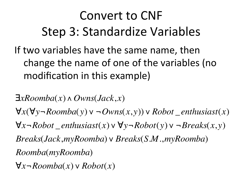## Convert to CNF Step 3: Standardize Variables

If two variables have the same name, then change the name of one of the variables (no modification in this example)

∃*xRoomba*(*x*)∧ *Owns*(*Jack*, *x*) ∀*x*(∀*y*¬*Roomba*(*y*)∨ ¬*Owns*(*x*, *y*))∨ *Robot* \_*enthusiast*(*x*) ∀*x*¬*Robot* \_ *enthusiast*(*x*)∨ ∀*y*¬*Robot*(*y*)∨ ¬*Breaks*(*x*, *y*) *Breaks*(*Jack*,*myRoomba*)∨ *Breaks*(*S*.*M*.,*myRoomba*) *Roomba*(*myRoomba*)

∀*x*¬*Roomba*(*x*)∨ *Robot*(*x*)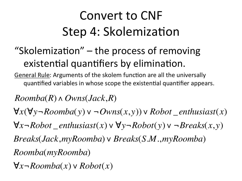## Convert to CNF Step 4: Skolemization

#### "Skolemization"  $-$  the process of removing existential quantifiers by elimination.

General Rule: Arguments of the skolem function are all the universally quantified variables in whose scope the existential quantifier appears.

*Roomba*(*R*)∧ *Owns*(*Jack*,*R*) ∀*x*(∀*y*¬*Roomba*(*y*)∨ ¬*Owns*(*x*, *y*))∨ *Robot* \_*enthusiast*(*x*) ∀*x*¬*Robot* \_*enthusiast*(*x*)∨ ∀*y*¬*Robot*(*y*)∨ ¬*Breaks*(*x*, *y*) *Breaks*(*Jack*,*myRoomba*)∨ *Breaks*(*S*.*M*.,*myRoomba*) *Roomba*(*myRoomba*)

∀*x*¬*Roomba*(*x*)∨ *Robot*(*x*)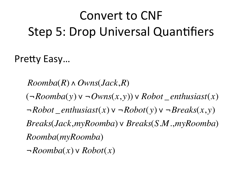## Convert to CNF Step 5: Drop Universal Quantifiers

Pretty Easy...

*Roomba*(*R*)∧ *Owns*(*Jack*,*R*) (¬*Roomba*(*y*)∨ ¬*Owns*(*x*, *y*))∨ *Robot* \_*enthusiast*(*x*) ¬*Robot* \_*enthusiast*(*x*)∨ ¬*Robot*(*y*)∨ ¬*Breaks*(*x*, *y*) *Breaks*(*Jack*,*myRoomba*)∨ *Breaks*(*S*.*M*.,*myRoomba*) *Roomba*(*myRoomba*) ¬*Roomba*(*x*)∨ *Robot*(*x*)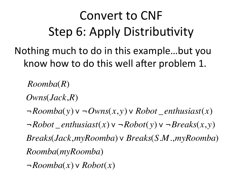## Convert to CNF Step 6: Apply Distributivity

Nothing much to do in this example...but you know how to do this well after problem 1.

*Roomba*(*R*)

*Owns*(*Jack*,*R*)

¬*Roomba*(*y*)∨ ¬*Owns*(*x*, *y*)∨ *Robot* \_*enthusiast*(*x*) ¬*Robot* \_ *enthusiast*(*x*)∨ ¬*Robot*(*y*)∨ ¬*Breaks*(*x*, *y*) *Breaks*(*Jack*,*myRoomba*)∨ *Breaks*(*S*.*M*.,*myRoomba*)

*Roomba*(*myRoomba*)

¬*Roomba*(*x*)∨ *Robot*(*x*)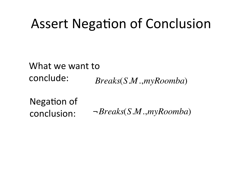## Assert Negation of Conclusion

*Breaks*(*S*.*M*.,*myRoomba*) What we want to conclude: 

 $\ddot{\phantom{0}}$ Negation of conclusion: 

¬*Breaks*(*S*.*M*.,*myRoomba*)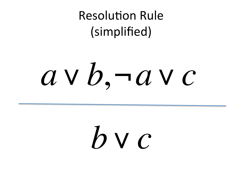**Resolution Rule** (simplified) 

# *a*∨*b*, ¬*a*∨*c*

*b*∨*c*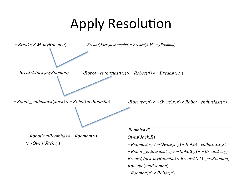# **Apply Resolution**

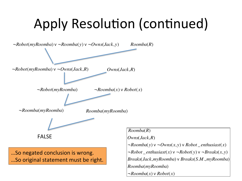# Apply Resolution (continued)